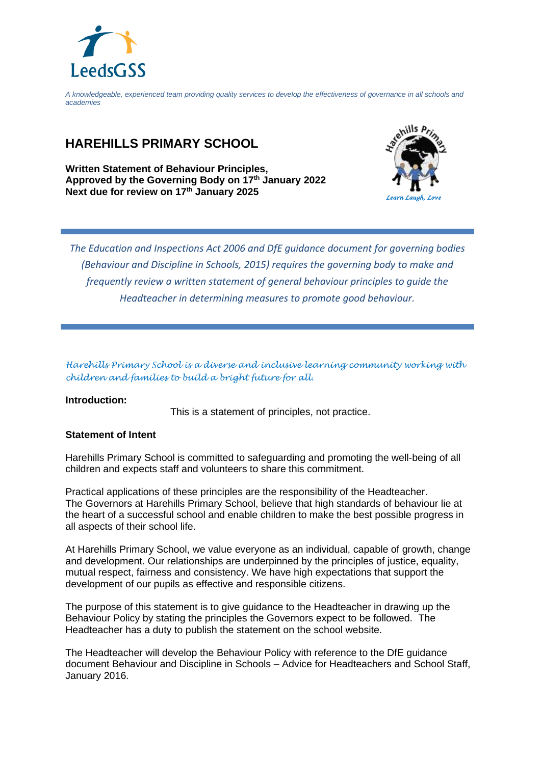

*A knowledgeable, experienced team providing quality services to develop the effectiveness of governance in all schools and academies*

## **HAREHILLS PRIMARY SCHOOL**

**Written Statement of Behaviour Principles, Approved by the Governing Body on 17 th January 2022 Next due for review on 17 th January 2025**



*The Education and Inspections Act 2006 and DfE guidance document for governing bodies (Behaviour and Discipline in Schools, 2015) requires the governing body to make and frequently review a written statement of general behaviour principles to guide the Headteacher in determining measures to promote good behaviour.*

*Harehills Primary School is a diverse and inclusive learning community working with children and families to build a bright future for all.* 

## **Introduction:**

This is a statement of principles, not practice.

## **Statement of Intent**

Harehills Primary School is committed to safeguarding and promoting the well-being of all children and expects staff and volunteers to share this commitment.

Practical applications of these principles are the responsibility of the Headteacher. The Governors at Harehills Primary School, believe that high standards of behaviour lie at the heart of a successful school and enable children to make the best possible progress in all aspects of their school life.

At Harehills Primary School, we value everyone as an individual, capable of growth, change and development. Our relationships are underpinned by the principles of justice, equality, mutual respect, fairness and consistency. We have high expectations that support the development of our pupils as effective and responsible citizens.

The purpose of this statement is to give guidance to the Headteacher in drawing up the Behaviour Policy by stating the principles the Governors expect to be followed. The Headteacher has a duty to publish the statement on the school website.

The Headteacher will develop the Behaviour Policy with reference to the DfE guidance document Behaviour and Discipline in Schools – Advice for Headteachers and School Staff, January 2016.